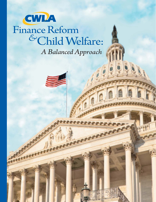# *A Balanced Approach &* Child Welfare: Finance Reform



CWLA <sup>n</sup> **Finance Reform and Child Welfare:** *A Balanced Approach* **1**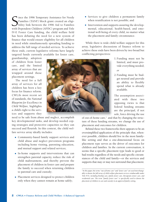Sistance for Needy<br>
Families (TANF) block grant created an eligi-<br>
bility link between the 1996 Aid to Families<br>
with Dependent Children (AFDC) program and Title Ince the 1996 Temporary Assistance for Needy Families (TANF) block grant created an eligibility link between the 1996 Aid to Families IV-E Foster Care funding, the child welfare field has been debating the need for a new system of finance that would ensure eligibility for all children in need while simultaneously spreading funding to address the full range of needed services. To achieve these ends, current legislative reforms have largely targeted funds currently available for foster care,

guardianship, adoption of children from foster care, and the limited array of services that are wrapped around those placement settings.

The need for a full array of services for all children has been a key focus for finance reform. CWLA's most recent set of standards, the *National Blueprint for Excellence in Child Welfare,* highlights a child's right to the services and supports they



need to be safe from abuse and neglect, accomplish key developmental tasks, and develop needed coping strategies and protective capacities so they can succeed and flourish. In this context, the child welfare service array ideally includes:

- <sup>n</sup> Community-based family support services and child abuse and neglect prevention programs including home visiting, parenting education, and mutual support and related services;
- <sup>n</sup> In-home supports and interventions that can strengthen parental capacity, reduce the risk of child maltreatment, and thereby prevent the placement of children in foster care and prepare the family to succeed when returning children to parental care and custody;
- Placement services designed to protect children only when they cannot remain at home safely;
- **Exercices** to give children a permanent family when reunification is not possible; and
- n Intervention and supports assuring the developmental, educational, health-based, and emotional well-being of every child, no matter what the placement and family circumstance.

While there is wide child welfare support for this array, legislative discussions of finance reform to achieve these ends have been driven by two broad but conflicting perspectives:

- 1.Funding must not be limited, and must provide everything needed; *or*
- 2.Funding must be budget neutral and provide an ability to flexibly spend what is already available.

The assumption associated with these two opposing views is that federal funding streams are the principal, if not sole, force driving the use

of out-of-home care,<sup>1</sup> and that by changing the structure of these funding streams, we change the use of placement and outcomes for children.

Behind these two frameworks there appears to be an oversimplified application of the principle that, whenever possible, children should live in the most familylike setting and that a one-dimensional focus on placement type serves as the driver of outcomes for children and families. In the current conversation, it seems that a specific placement type leads to good or bad results regardless of the needs and specific circumstances of the child and family—or the services and supports that may or may not surround that placement.

<sup>&</sup>lt;sup>1</sup> In this paper, the terms "out-of-home care" and "foster care" are used interchange*ably to denote the full array of child welfare placement services reimbursable under Title IV-E, including kinship care, family foster care, therapeutic foster care, and residential care. The term "family foster care" is specifically used to denote the placement of children in care and custody in an approved family setting.*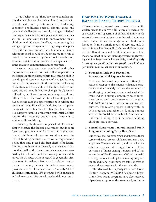CWLA believes that there is a more complex picture that is influenced by state and local political will; federal, state, and private resources; leadership; economic conditions; societal circumstances and case-level challenges. As a result, changes in federal funding streams to favor one placement over another will not automatically lead to improvement for all children in all 50 states. In effect, we are saying that a single approach to systemic change may guide practice, but one size cannot fit all. Likewise, a finance reform proposal should not be measured in terms of how it is implemented by the most innovative and committed states but by how it will be implemented in states that lack commitment and/or resources.

In some states, and when combined with other improvements, such reforms will influence practice for the better. In other states, reform may mean a shift in spending and systemic measures of change, but may not lead to improvements in the safety and well-being of children and the stability of families. Policies and resources can readily lead to changes in placement utilization, but if services and other supports do not follow, child welfare will fail to achieve its goals, as has been the case in some reforms both within and outside of the child welfare field. Any and all placements with birth families, kin families, foster families, adoptive families, or in group residential facilities require the necessary support and treatment to achieve child well-being.

Ultimately, children are not placed into foster care simply because the federal government funds some foster care placements under Title IV-E. If that were true, all children in foster care would be covered by federal funding because states would implement a policy that only placed children eligible for federal funding into foster care. Instead, what we see is that less than half of the foster care placements are covered by federal funds, and that coverage varies widely across the 50 states without regard to geography, size, or economic makeup. Nor do all children stay in placement merely because the federal government provides Title IV-E foster care funds. Annually, 51% of children return home, 15% are placed with guardians and relatives, and 21% are adopted and do not return to care.

## HOW WE CAN WORK TOWARD A BALANCED FINANCE REFORM PROPOSAL

A finance reform proposal must recognize that child welfare needs to address a full array of services that can assist the full spectrum of child and family needs across diverse populations including tribal communities. That is because no family and no child can be forced to fit into a single model of services, and, in fact, different families will likely use different services at different times and in different measures. That means *we need to be far more aggressive in preventing child maltreatment when possible, work diligently to strengthen families that are fragile, and find new permanent families as soon as is necessary.* 

#### 1. Strengthen Title IV-B Prevention Intervention and Support Services

First and foremost any serious attempt to reduce foster care placements, enhance permanency and ultimately reduce the number of youth aging out of foster care, must start at the front end with strong community-based initiatives. We can and must take steps to strengthen Title IV-B prevention, intervention and support services. Any reform proposal dealing with the IV-B programs and other key funding sources such as the Social Services Block Grant cannot undercut funding to vital services including child protective services.

#### 2. Extend Home Visitation and Expand Pre-K Programs Including Early Head Start

It is critical that we strengthen and increase those services that can prevent child maltreatment. Two steps that Congress can take, and that all advocates must speak out in support of, are (1) an extension of home visiting services and (2) an expansion of Pre-K programs. CWLA is grateful to Congress for extending home visiting programs for an additional year; now, we ask Congress to extend these programs for the next decade.

The Maternal, Infant, Early Childhood Home Visiting Program (MIECHV) has been a bipartisan effort. Pre-K programs have also received bipartisan support at the state level, and now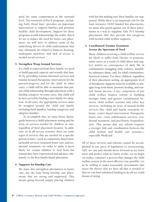need the same commitment at the national level. The extension of Pre-K programs, including Early Head Start, provides an important intervention to support families and promote healthy child development. Support for these programs would acknowledge the reality that if we are to reduce the need for foster care placement, we will have to address some of the underlying drivers of child maltreatment that may ultimately be related to finances, housing, inadequate nutrition, and lack of access to needed social services.

#### 3. Strengthen Wrap Around Services

If a child is removed from their family, we need to build parental capacity and reunify that family by providing trauma-informed services and trauma-focused therapeutic intervention for the parent/caregivers and for the child. In other cases, a child will be able to maintain that parent-child relationship through placement with a kinship caregiver. In some cases, that child will be best served by finding a new family for adoption. In all cases, the appropriate services must be wrapped around the child and family, including birth families, kinship caregivers, and adoptive families.

To accomplish this, we must better distinguish between a child's placement setting and the array of services needed by children in care, regardless of their placement location. In addition, as in all service systems, there are some types of services that are needed for a specific period of time—such as community-based mental health services, treatment foster care, and residential treatment—in order to make it more likely for certain children to heal from the trauma they have experienced and advance, ultimately, to the best family-based placement.

#### 4. Supports for Kinship Care

We must also strengthen alternatives to foster care, not the least being kinship care placements that are strong and supported. This means going beyond simply placing children with kin but making sure these families are supported. While there is an important role for the least intrusive TANF-funded kin placements, we must also guard against use of these placements as a way to supplant Title IV-E kinship placements that also provide kin caregivers with needed child welfare supports.

#### 5. Coordinated Trauma Treatment Across the Spectrum of Need

Many children receiving a child welfare service are likely to suffer from chronic or posttraumatic stress as a result of child abuse and neglect and/or as consequence of daily life in communities struggling with violence, instability, substance abuse, and, for tribal communities, historical trauma. For these children, regardless of their placement setting, an appropriate level of therapeutic supports must be available to mitigate long-term harm, promote healing, and nurture future success. A key component of any child welfare finance reform is building stronger links and greater coordination between child welfare systems and other key services, including an array of mental health services like child and family treatment inhome, center based intervention, therapeutic foster care, crisis stabilization services, residential treatment, and psychiatric hospitalization. This means that any reform requires a stronger link and coordination between the child welfare and health care systems especially Medicaid.

All of these services and reforms cannot be accomplished in one piece of legislation or restructuring. Still, we can and should move forward as we learn more and perfect what we know works. Let us begin (in reality, continue) a process that changes the child welfare system in the most effective way possible. Let us be willing to make reasonable investments that reject the theory that we have all that is needed or that we can find unlimited funding to do all we could dream of doing.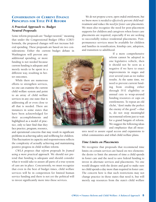## CONSIDERATION OF CURRENT FINANCE PRINCIPLES FOR TITLE **IV-E REFORM**

## *A Practical Approach vs. Budget Neutral Proposals*

Some reform proposals are "budget neutral," meaning that under the Congressional Budget Office (CBO) formula, the proposed changes will not increase federal spending. These proposals are based on two considerations: Either the current budget debate in

Washington will prevent any additional spending, or more funding is not needed because current funding is adequate and merely needs to be spent in a different way, resulting in better outcomes.

While there are numerous efforts to strengthen services, no one can examine the current child welfare system and point to an array of child welfare services in any one state that is addressing all or even close to all that is needed. There are instances in some states that have been acknowledged for their accomplishments and highlighted as a model of practice, only to later find that they face practice, program, resource,

and operational concerns that may result in significant problems in achieving safety and wellbeing for children. This fluctuation in capacity and responsiveness reflects the complexity of actually achieving and maintaining positive progress in child welfare reform.

*CWLA proposes that reform proposals be framed using a more practical approach.* We should not pretend that funding is adequate and should consider what it would take to assure all parts of a true system of care are in place. Concurrently, we must recognize that even in the best of budget times, child welfare services will be in competition for limited human service funding and there is not yet the political will to invest significantly more into these services.

*We do not propose a new, open-ended entitlement, but we know more is needed to effectively prevent child maltreatment and reduce the need for foster care placements.* We must also recognize the need for post-placement supports for children and caregivers when foster care placements are required; especially if we are seeking to successfully reduce residential placements. Postpermanence services must be available for children and families in reunification, kinship care, adoption, and transition to adulthood.



If a more comprehensive reform cannot be adopted in one legislative vehicle, then it should not be seen as a negative if we have to enact improvements in stages and over several years as we realize results. At the same time, we need to prevent current funding from eroding either through IV-E eligibility or annual cuts to wrap-around funding resources or caps on entitlements. To repeat an old cliché, "don't make the perfect the enemy of the good"—that is, do not stop meaningful incremental reform just to wait for a grand bargain of reform. We suggest the following ideas and emphasize that all meas-

ures need to assure equal access and expansions to tribal communities and tribal child welfare plans.

#### *Time Limits on Placements*

We recognize that proposals that recommend time limits on certain services are based on two elements: the desire to limit the amount of time a child spends in foster care and the need to save federal funding to invest in alternate services and placements. No one would disagree with the desire and goal to make sure no child spends a day more than required in foster care. The concern here is that such restrictions may not change practice in those states that need it, but will merely sap resources from the state's child welfare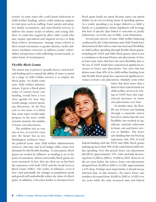system. In some states this could mean reductions in child welfare funding, which could undercut support in vital areas such as staffing, foster parent and adoptive family recruitment, and state-funded services to address the unmet needs of infants, and young children. It could also negatively affect older youth who may require specialized and targeted services to help them achieve permanence, manage issues related to their sexual orientation or gender identity; tackle substance use/abuse concerns; or address youths' vulnerability to/experience with trafficking, sexual assault, or other forms of victimization.

## *Flexible Block Grants*

The easiest way to preserve (actually freeze) current federal funding and to expand the ability of states to spend on a range of child welfare services is to employ the block grant. No doubt some

state child welfare administrators, if given a block grant today of current foster care funding, would have a very clear agenda for how they would change current spending allocations. In the first year or two years, it is likely that some states would make progress in the most visible systemic measure: the number of foster care placements.

The problem isn't in year one or two, or even five years into the future but as key Washington architects leave

the political scene, state child welfare administrators turnover, and state and local budget shifts create new demands for this flexible funding. As time passes, block grants are eroded by inflation, as funding is set at the point of enactment. Almost universally, block grants are never increased. In fact, they are often cut, as has been the experience with both TANF and the Social Services Block Grant (SSBG). The reality of inflation—even if low—and potentially the changes in population needs and growth will undoubtedly reduce the value of a block grant. In addition, it becomes harder to document how block grant funds are spent because states can spend dollars on an ever-evolving menu of spending options. As a result, spending is no longer linked to a child, a family, or a population; future legislators will leverage this lack of specific data linked to outcomes to justify reductions—or in the case of SSBG, total elimination.

Several past surveys of state child welfare financing conducted by the Urban Institute and Child Trends have demonstrated that when a state has increased flexibility in child welfare spending through flexible block grants, including the TANF and SSBG block grants, there is not a correlation to decreased foster care placements. In fact, at least some states that have the most flexibility due to the use of TANF funds have experienced significant increases in foster care placements. One state that has drawn more than 40% of its child welfare funding from that flexible block grant has experienced significant increases in foster care placements. Similarly, some other

> states that draw more than a third of their federal funds for child welfare services by relying on TANF have also experienced increases in foster care placements over time.

> In another state, the flexible use of foster care funding through a statewide waiver has led to claims that the new flexibility has resulted in significant caseload reductions in foster care and better services to families. The foster care funding that was freed up represents only 29% of total

federal funding with the TANF and SSBG block grants making up more than 49% of the total federal child welfare spending. Over this period, foster care placements did fall by approximately 33%, with caseloads decreasing from 21,000 in 2006 to 14,000 in 2010. However in the six years before the waiver, foster care placements dropped from 36,000 in 2000 to 21,000, approximately a 41% drop. Perhaps most importantly, it should not go unnoted that, in this instance, the state's foster care numbers decreased from 36,000 in 2000 to 14,000 over ten years while the state increased state and federal

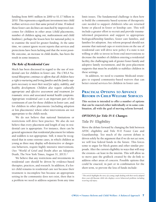funding from \$691 million in 2000 to \$1.17 billion in 2010. This represents a significant investment into child welfare services over that same period of time. If indeed those foster care declines are matched by improved outcomes for children in other areas (child placements, number of children aging out, maltreatment and child fatalities), perhaps the lesson here for national policy is to examine the need for greater funding. At the same time, we cannot ignore recent reports that services and protections have been lacking and that the worst possible outcome, an increase in child deaths, has been the result in some instances.

#### *The Role of Residential Care*

Much has been discussed in regard to the use of residential care for children in foster care. *The CWLA* National Blueprint *continues to affirm that all children have a right to nurturing and loving families and the family supports necessary to meet their need for safety, stability, and healthy development. Children also require culturally appropriate and effective assessment and treatment for traumatic stress and associated mental health symptoms. Appropriate residential care is an important* part of the continuum of care for those children in foster care, and for children in other placements (including adoption or kin placements) where other interventions are not appropriate to the child's needs.

We do not believe that national limitations or restrictions will drive best practice. We also do not believe that every placement and length of stay in residential care is appropriate. For instance, there can be general agreement that residential placement for infants and toddlers is not appropriate. Still, it must be recognized that in some extreme cases, in which children as young as three may display self-destructive or dangerous behaviors, require highly intensive interventions. (See "World of Grief and Doubt after an Adoptee's Death, The New York Times, August 31, 2013).<sup>2</sup>

We believe that any restrictions and investments in residential care should be driven by evidence-based therapies, practices, and research. In addition, if a foster child remains in residential care not because their treatment is incomplete but because an appropriate setting in the community does not exist, then that is a problem we need to address separate from any time

limit issues. The fundamental challenge is then how to build the community based systems of therapeutic care needed to support children's who are returned home or placed in foster or kinship care. This will include a greater effort to recruit and provide traumainformed preparation and support to appropriate biological/kinship families, foster care families, and families for adoption. Any reform proposal should not assume that national caps or restrictions on the use of residential care will drive new policy if a state is not willing or able to invest in front-end interventions to decrease the number of children entering a residential facility, the challenging task of greater foster family and adoptive family recruitment, and the post-placement supports that must be available to stabilize children in these settings.

In addition, we need to examine Medicaid strategies to expand community-based waivers that can better extend services for children in foster care.

# PRACTICAL OPTIONS TO ADVANCE **REFORM IN CHILD WELFARE SERVICES**

**This section is intended to offer a number of options that can be enacted either individually or in some combination, all with the goal of moving reform forward.**

#### *OPTIONS for Title IV-E Changes*

## Title IV- Eligibility

Move the debate forward by changing the link between AFDC eligibility and Title IV-E Foster Care and Guardianship. Too much of the current debate is driven solely by the argument that if we do not act now, we will lose federal funds in the future. This forces some to argue for block grants and other similar proposals. Alter the current eligibility in ways that will stop the erosion—at least in the interim. This will allow us to move past the gridlock created by the de-link to address other areas of concern. Possible options that could be enacted, in part or in combination for the short term, to prevent the loss of funds include:

<sup>2</sup>*This article highlights the story of a young couple dealing with their newly adopted three-year-old Russian child who displays severe behavioral problems including recurring self-injury.*